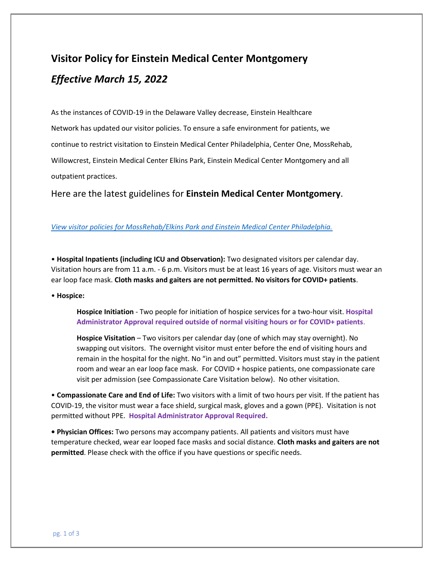## **Visitor Policy for Einstein Medical Center Montgomery** *Effective March 15, 2022*

As the instances of COVID-19 in the Delaware Valley decrease, Einstein Healthcare Network has updated our visitor policies. To ensure a safe environment for patients, we continue to restrict visitation to Einstein Medical Center Philadelphia, Center One, MossRehab, Willowcrest, Einstein Medical Center Elkins Park, Einstein Medical Center Montgomery and all outpatient practices.

Here are the latest guidelines for **Einstein Medical Center Montgomery**.

## *[View visitor policies for MossRehab/Elkins Park and Einstein Medical Center Philadelphia.](https://www.einstein.edu/seeadoctor#visitor)*

• **Hospital Inpatients (including ICU and Observation):** Two designated visitors per calendar day. Visitation hours are from 11 a.m. - 6 p.m. Visitors must be at least 16 years of age. Visitors must wear an ear loop face mask. **Cloth masks and gaiters are not permitted. No visitors for COVID+ patients**.

• **Hospice:**

**Hospice Initiation** - Two people for initiation of hospice services for a two-hour visit. **Hospital Administrator Approval required outside of normal visiting hours or for COVID+ patients**.

**Hospice Visitation** – Two visitors per calendar day (one of which may stay overnight). No swapping out visitors. The overnight visitor must enter before the end of visiting hours and remain in the hospital for the night. No "in and out" permitted. Visitors must stay in the patient room and wear an ear loop face mask. For COVID + hospice patients, one compassionate care visit per admission (see Compassionate Care Visitation below). No other visitation.

• **Compassionate Care and End of Life:** Two visitors with a limit of two hours per visit. If the patient has COVID-19, the visitor must wear a face shield, surgical mask, gloves and a gown (PPE). Visitation is not permitted without PPE. **Hospital Administrator Approval Required.**

**• Physician Offices:** Two persons may accompany patients. All patients and visitors must have temperature checked, wear ear looped face masks and social distance. **Cloth masks and gaiters are not permitted**. Please check with the office if you have questions or specific needs.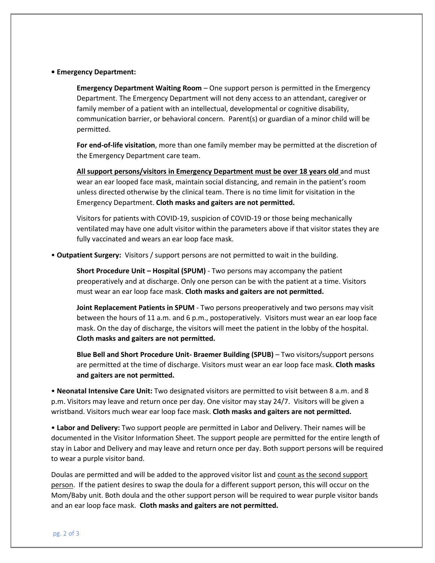## **• Emergency Department:**

**Emergency Department Waiting Room** – One support person is permitted in the Emergency Department. The Emergency Department will not deny access to an attendant, caregiver or family member of a patient with an intellectual, developmental or cognitive disability, communication barrier, or behavioral concern. Parent(s) or guardian of a minor child will be permitted.

**For end-of-life visitation**, more than one family member may be permitted at the discretion of the Emergency Department care team.

**All support persons/visitors in Emergency Department must be over 18 years old** and must wear an ear looped face mask, maintain social distancing, and remain in the patient's room unless directed otherwise by the clinical team. There is no time limit for visitation in the Emergency Department. **Cloth masks and gaiters are not permitted.**

Visitors for patients with COVID-19, suspicion of COVID-19 or those being mechanically ventilated may have one adult visitor within the parameters above if that visitor states they are fully vaccinated and wears an ear loop face mask.

• **Outpatient Surgery:** Visitors / support persons are not permitted to wait in the building.

**Short Procedure Unit – Hospital (SPUM)** - Two persons may accompany the patient preoperatively and at discharge. Only one person can be with the patient at a time. Visitors must wear an ear loop face mask. **Cloth masks and gaiters are not permitted.**

**Joint Replacement Patients in SPUM** - Two persons preoperatively and two persons may visit between the hours of 11 a.m. and 6 p.m., postoperatively. Visitors must wear an ear loop face mask. On the day of discharge, the visitors will meet the patient in the lobby of the hospital. **Cloth masks and gaiters are not permitted.**

**Blue Bell and Short Procedure Unit- Braemer Building (SPUB)** – Two visitors/support persons are permitted at the time of discharge. Visitors must wear an ear loop face mask. **Cloth masks and gaiters are not permitted.**

• **Neonatal Intensive Care Unit:** Two designated visitors are permitted to visit between 8 a.m. and 8 p.m. Visitors may leave and return once per day. One visitor may stay 24/7. Visitors will be given a wristband. Visitors much wear ear loop face mask. **Cloth masks and gaiters are not permitted.**

• **Labor and Delivery:** Two support people are permitted in Labor and Delivery. Their names will be documented in the Visitor Information Sheet. The support people are permitted for the entire length of stay in Labor and Delivery and may leave and return once per day. Both support persons will be required to wear a purple visitor band.

Doulas are permitted and will be added to the approved visitor list and count as the second support person. If the patient desires to swap the doula for a different support person, this will occur on the Mom/Baby unit. Both doula and the other support person will be required to wear purple visitor bands and an ear loop face mask. **Cloth masks and gaiters are not permitted.**